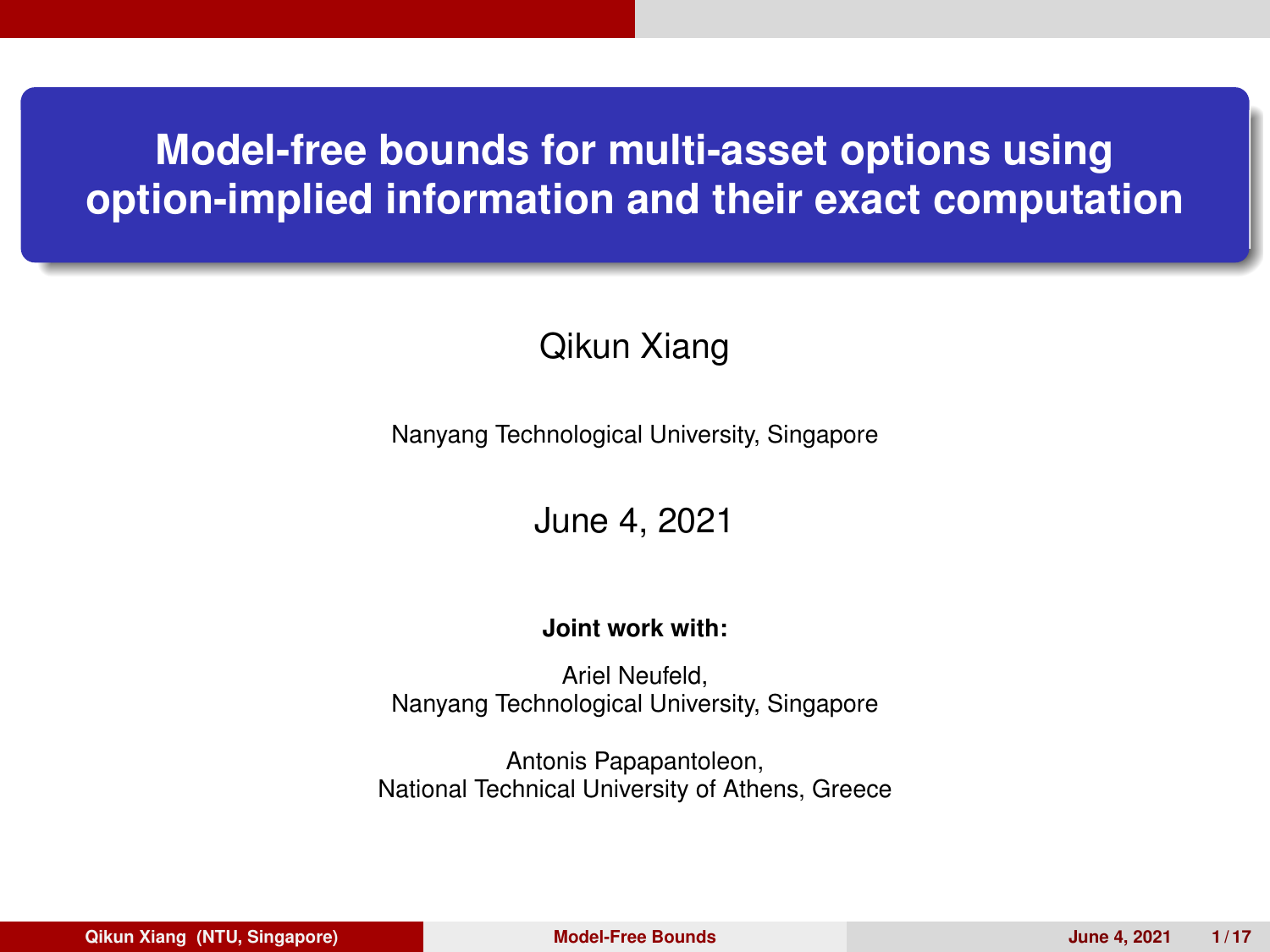## <span id="page-0-0"></span>**Model-free bounds for multi-asset options using option-implied information and their exact computation**

#### Qikun Xiang

Nanyang Technological University, Singapore

June 4, 2021

#### **Joint work with:**

Ariel Neufeld, Nanyang Technological University, Singapore

Antonis Papapantoleon, National Technical University of Athens, Greece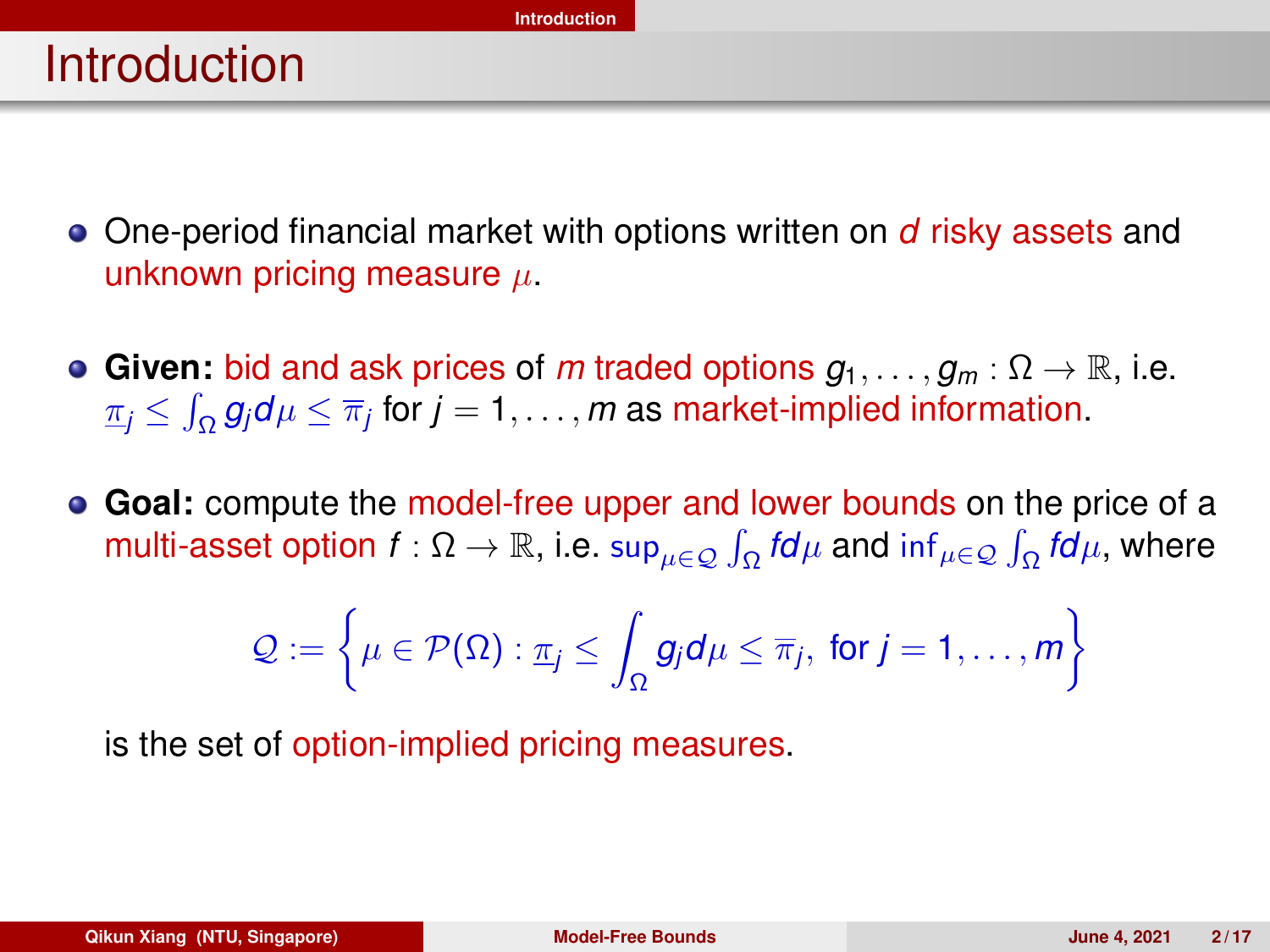## <span id="page-1-0"></span>**Introduction**

- One-period financial market with options written on *d* risky assets and unknown pricing measure  $\mu$ .
- **Given:** bid and ask prices of *m* traded options  $g_1, \ldots, g_m : \Omega \to \mathbb{R}$ , i.e.  $\pi_j \leq \int_\Omega g_j d\mu \leq \overline{\pi}_j$  for  $j=1,\ldots,m$  as market-implied information.
- **Goal:** compute the model-free upper and lower bounds on the price of a multi-asset option  $f:\Omega\to\R$ , i.e.  $\sup_{\mu\in\mathcal{Q}}\int_\Omega f d\mu$  and  $\inf_{\mu\in\mathcal{Q}}\int_\Omega f d\mu$ , where

$$
\mathcal{Q} := \left\{ \mu \in \mathcal{P}(\Omega) : \underline{\pi}_j \le \int_{\Omega} g_j d\mu \le \overline{\pi}_j, \text{ for } j = 1, \ldots, m \right\}
$$

is the set of option-implied pricing measures.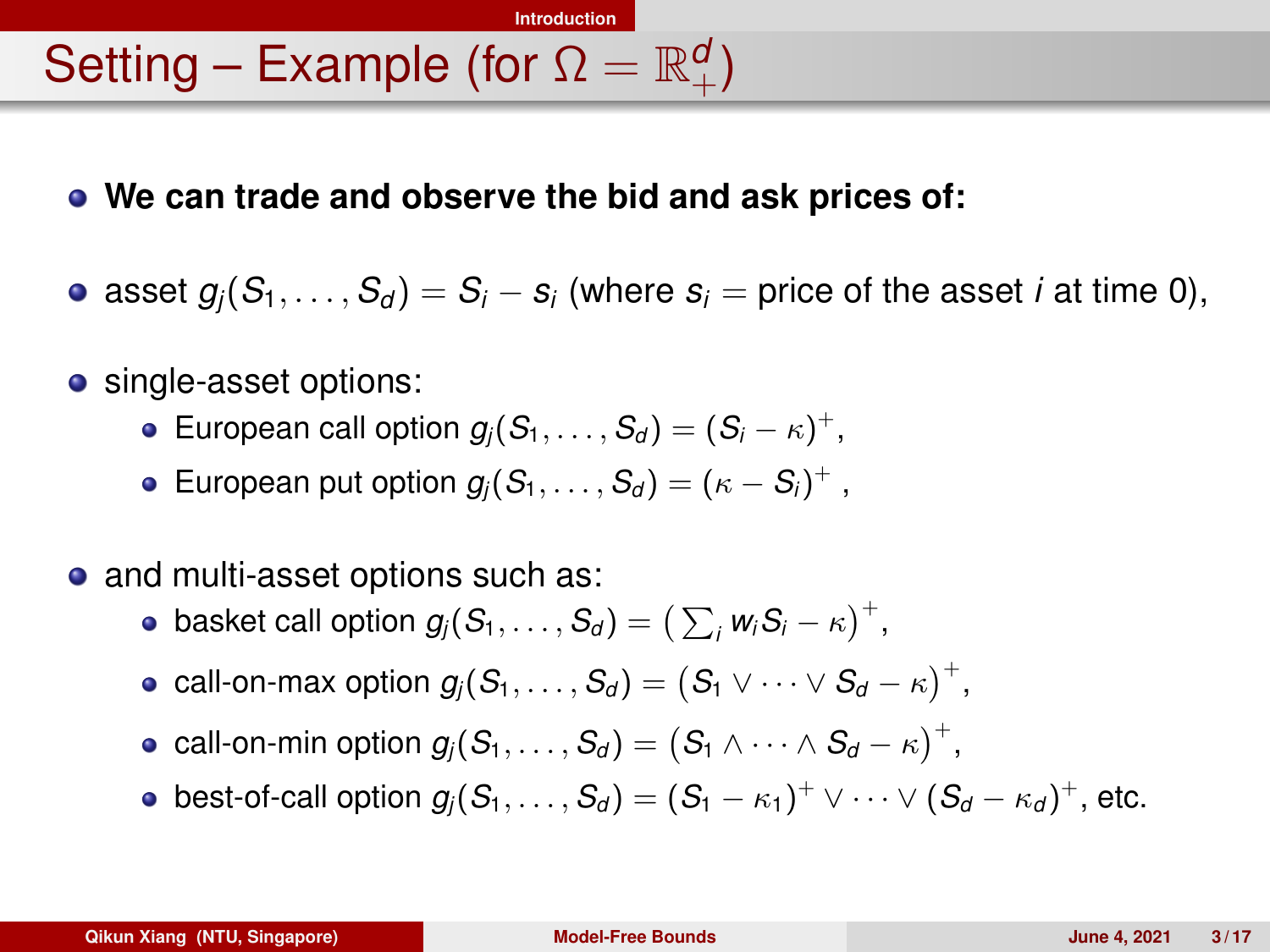# Setting – Example (for  $\Omega = \mathbb{R}^d_+$ )

**We can trade and observe the bid and ask prices of:**

**[Introduction](#page-1-0)**

- asset  $g_i(S_1, \ldots, S_d) = S_i s_i$  (where  $s_i$  = price of the asset *i* at time 0),
- single-asset options:
	- European call option  $g_j(S_1,\ldots,S_d)=(S_i-\kappa)^+,$
	- European put option  $g_j(S_1,\ldots,S_d)=(\kappa-S_i)^+$  ,
- and multi-asset options such as:
	- basket call option  $g_j(\mathcal{S}_1, \ldots, \mathcal{S}_d) = \big(\sum_i \mathsf{w}_i \mathcal{S}_i \kappa \big)^+$ ,
	- $\textsf{call-on-max option}\ g_j(\mathcal{S}_1,\ldots,\mathcal{S}_d) = \bigl(S_1\vee\cdots\vee S_d-\kappa\bigr)^+,$
	- $\textsf{call-on-min~option~}g_j(\textit{S}_1,\ldots,\textit{S}_d) = \bigl(\textit{S}_1 \wedge \cdots \wedge \textit{S}_d \kappa \bigr)^+,$
	- best-of-call option  $g_j(S_1,\ldots, S_d)=(S_1-\kappa_1)^+\vee\cdots\vee (S_d-\kappa_d)^+,$  etc.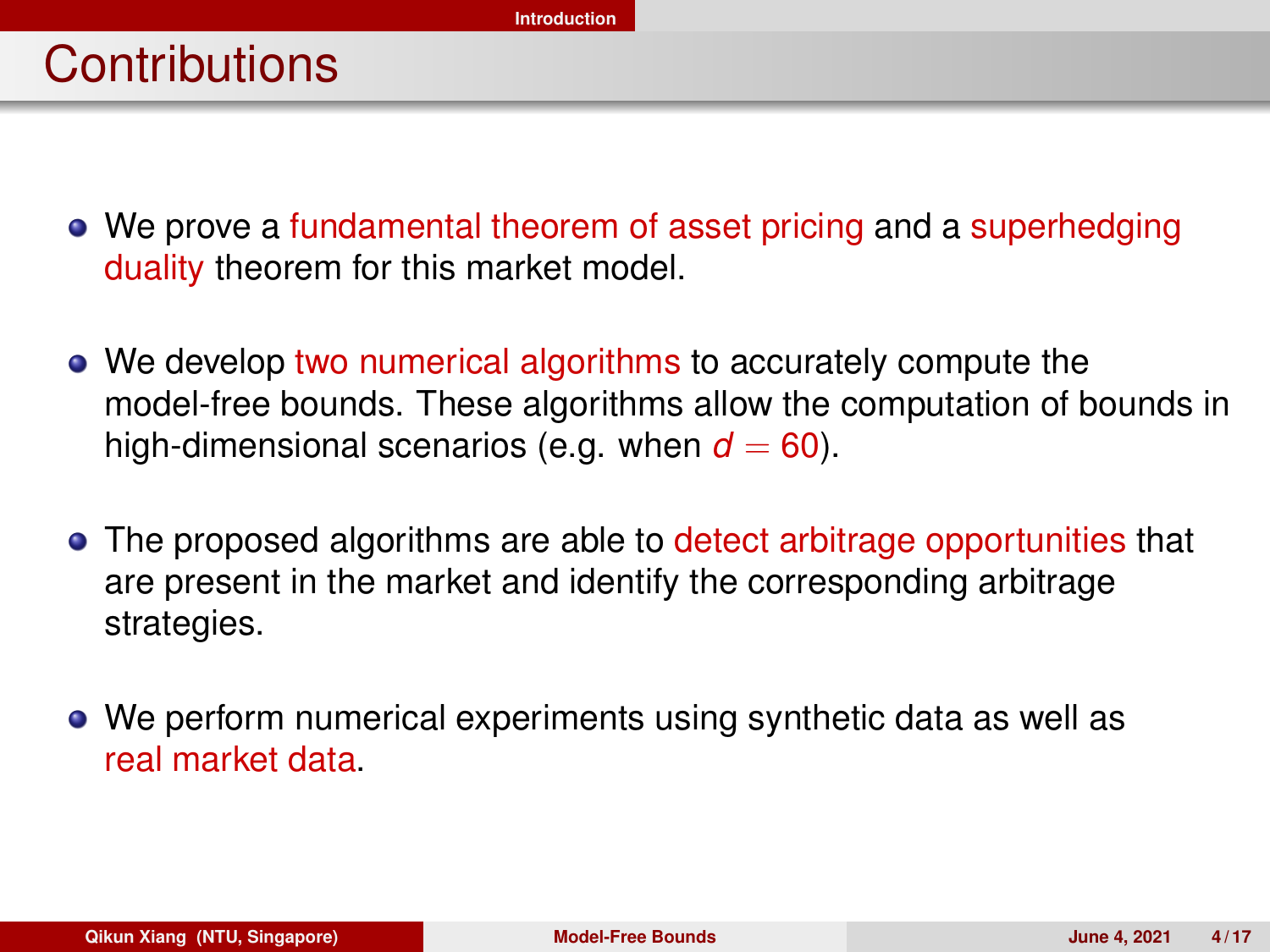- We prove a fundamental theorem of asset pricing and a superhedging duality theorem for this market model.
- We develop two numerical algorithms to accurately compute the model-free bounds. These algorithms allow the computation of bounds in high-dimensional scenarios (e.g. when  $d = 60$ ).
- The proposed algorithms are able to detect arbitrage opportunities that are present in the market and identify the corresponding arbitrage strategies.
- We perform numerical experiments using synthetic data as well as real market data.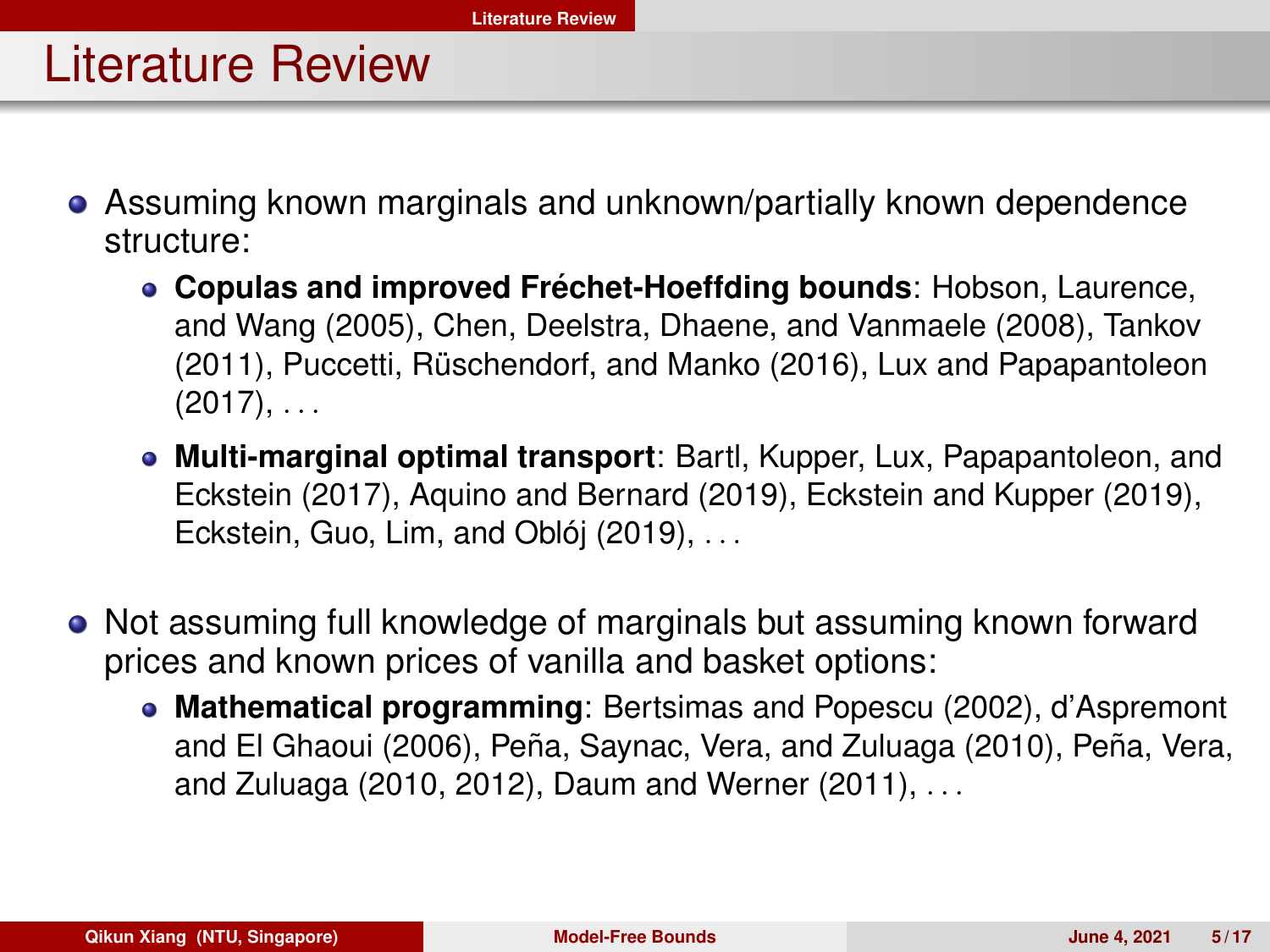## <span id="page-4-0"></span>Literature Review

- Assuming known marginals and unknown/partially known dependence structure:
	- **Copulas and improved Fréchet-Hoeffding bounds: Hobson, Laurence,** and Wang (2005), Chen, Deelstra, Dhaene, and Vanmaele (2008), Tankov (2011), Puccetti, Rüschendorf, and Manko (2016), Lux and Papapantoleon  $(2017), \ldots$
	- **Multi-marginal optimal transport**: Bartl, Kupper, Lux, Papapantoleon, and Eckstein (2017), Aquino and Bernard (2019), Eckstein and Kupper (2019), Eckstein, Guo, Lim, and Oblój  $(2019)$ , ...
- Not assuming full knowledge of marginals but assuming known forward prices and known prices of vanilla and basket options:
	- **Mathematical programming**: Bertsimas and Popescu (2002), d'Aspremont and El Ghaoui (2006), Peña, Saynac, Vera, and Zuluaga (2010), Peña, Vera, and Zuluaga (2010, 2012), Daum and Werner (2011), . . .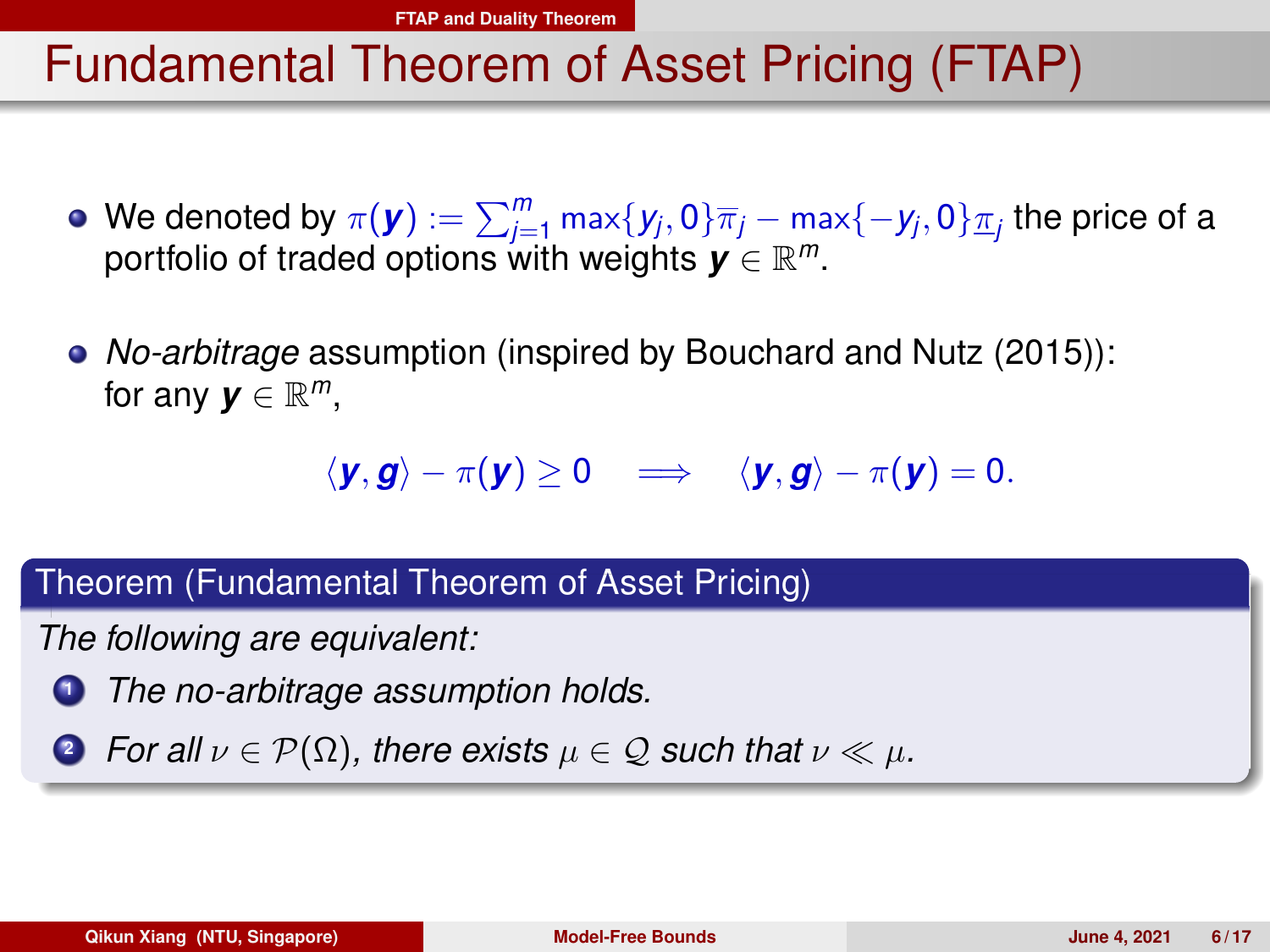## <span id="page-5-0"></span>Fundamental Theorem of Asset Pricing (FTAP)

- We denoted by  $\pi(\bm{y}):=\sum_{j=1}^m\max\{y_j,0\}\overline{\pi}_j-\max\{-y_j,0\}\underline{\pi}_j$  the price of a portfolio of traded options with weights *y* ∈ R *m*.
- *No-arbitrage* assumption (inspired by Bouchard and Nutz (2015)): for any  $\mathbf{y} \in \mathbb{R}^m$ ,

$$
\langle \mathbf{y}, \mathbf{g} \rangle - \pi(\mathbf{y}) \ge 0 \quad \Longrightarrow \quad \langle \mathbf{y}, \mathbf{g} \rangle - \pi(\mathbf{y}) = 0.
$$

Theorem (Fundamental Theorem of Asset Pricing)

*The following are equivalent:*

**<sup>1</sup>** *The no-arbitrage assumption holds.*

**2** *For all*  $\nu \in \mathcal{P}(\Omega)$ *, there exists*  $\mu \in \mathcal{Q}$  *such that*  $\nu \ll \mu$ *.*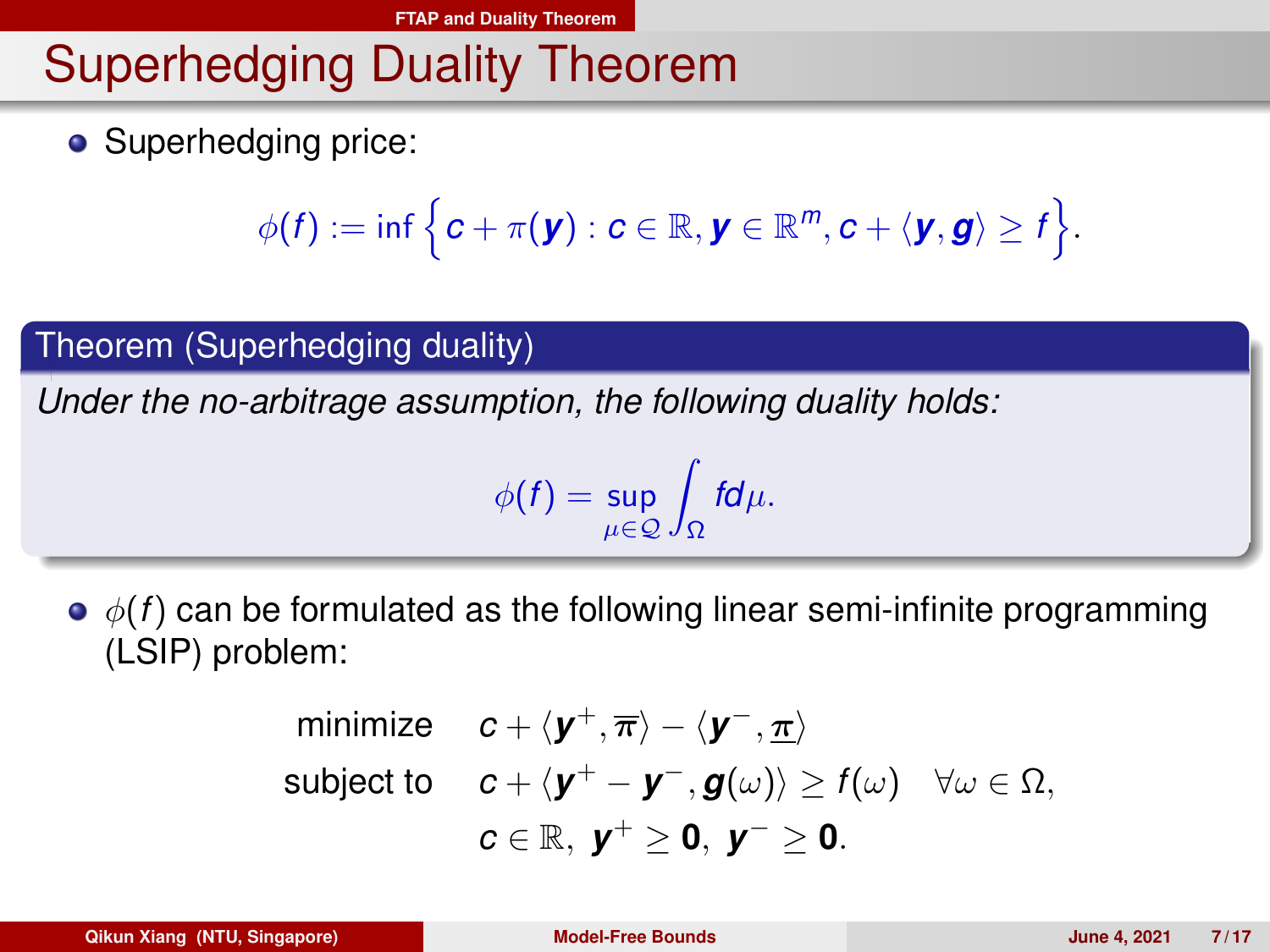## Superhedging Duality Theorem

• Superhedging price:

$$
\phi(f):=\inf\Big\{c+\pi(\bm{y}):c\in\mathbb{R},\bm{y}\in\mathbb{R}^m,c+\langle\bm{y},\bm{g}\rangle\geq f\Big\}.
$$

#### Theorem (Superhedging duality)

*Under the no-arbitrage assumption, the following duality holds:*

$$
\phi(f)=\sup_{\mu\in\mathcal{Q}}\int_{\Omega}fd\mu.
$$

 $\bullet$   $\phi(f)$  can be formulated as the following linear semi-infinite programming (LSIP) problem:

minimize 
$$
c + \langle y^+, \overline{\pi} \rangle - \langle y^-, \underline{\pi} \rangle
$$
  
subject to  $c + \langle y^+ - y^-, g(\omega) \rangle \ge f(\omega) \quad \forall \omega \in \Omega$ ,  
 $c \in \mathbb{R}, y^+ \ge 0, y^- \ge 0$ .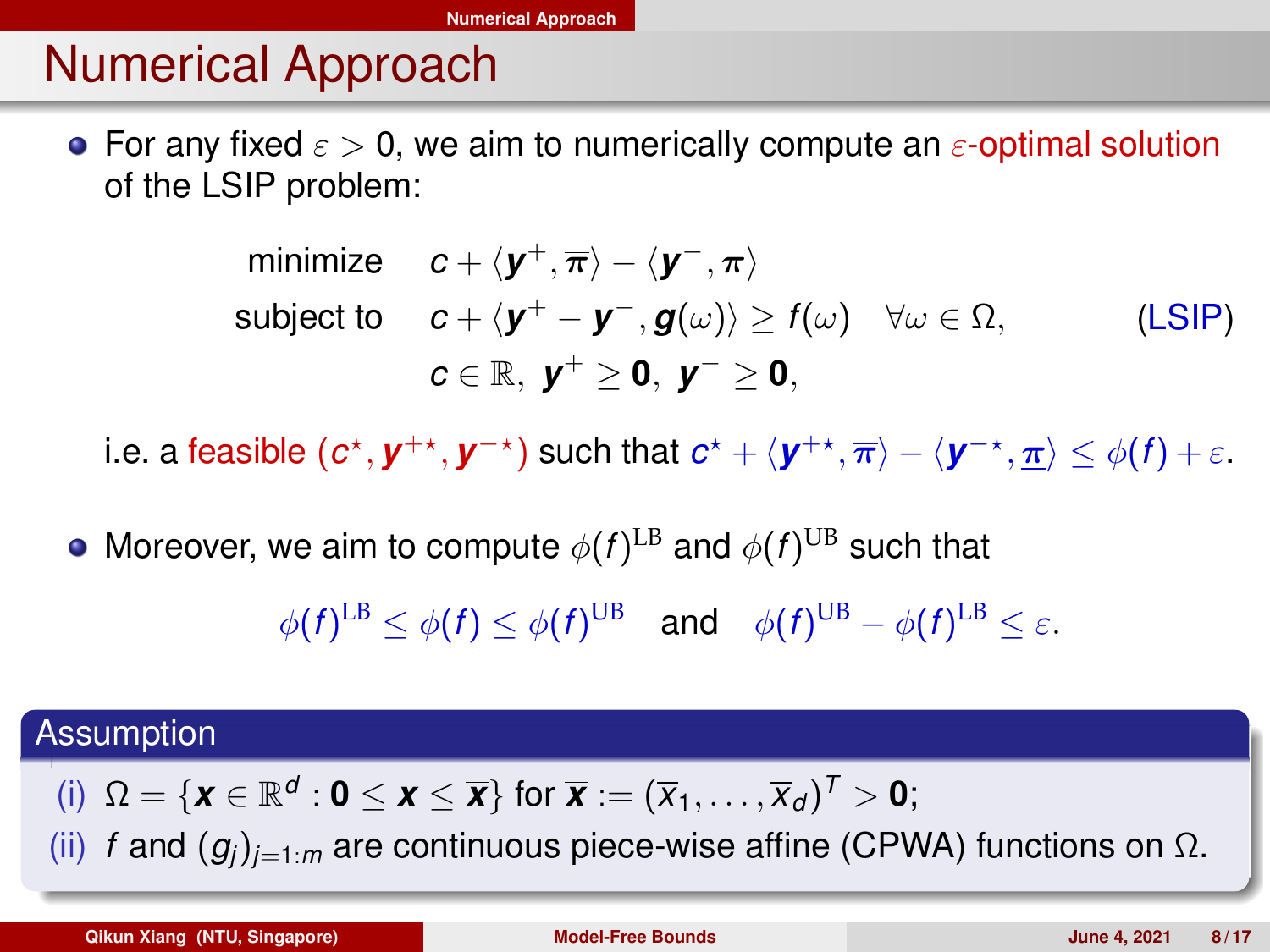## <span id="page-7-0"></span>Numerical Approach

**•** For any fixed  $\epsilon > 0$ , we aim to numerically compute an  $\epsilon$ -optimal solution of the LSIP problem:

minimize 
$$
c + \langle \mathbf{y}^+, \overline{\pi} \rangle - \langle \mathbf{y}^-, \underline{\pi} \rangle
$$
  
\nsubject to  $c + \langle \mathbf{y}^+ - \mathbf{y}^-, \mathbf{g}(\omega) \rangle \ge f(\omega) \quad \forall \omega \in \Omega$ , (LSIP)  
\n $c \in \mathbb{R}, \ \mathbf{y}^+ \ge \mathbf{0}, \ \mathbf{y}^- \ge \mathbf{0}$ ,

i.e. a feasible  $(c^*, y^{+*}, y^{-*})$  such that  $c^* + \langle y^{+*}, \overline{\pi} \rangle - \langle y^{-*}, \underline{\pi} \rangle \leq \phi(f) + \varepsilon.$ 

Moreover, we aim to compute  $\phi(f)^{\text{LB}}$  and  $\phi(f)^{\text{UB}}$  such that

 $\phi(f)^{\text{LB}} \leq \phi(f) \leq \phi(f)^{\text{UB}}$  and  $\phi(f)^{\text{UB}} - \phi(f)^{\text{LB}} \leq \varepsilon$ .

#### **Assumption**

(i)  $\Omega = {\mathbf{x} \in \mathbb{R}^d : \mathbf{0} \le \mathbf{x} \le \overline{\mathbf{x}}}$  for  $\overline{\mathbf{x}} := (\overline{x}_1, \dots, \overline{x}_d)^T > \mathbf{0}$ ;

(ii) *f* and  $(g_i)_{i=1:n}$  are continuous piece-wise affine (CPWA) functions on  $\Omega$ .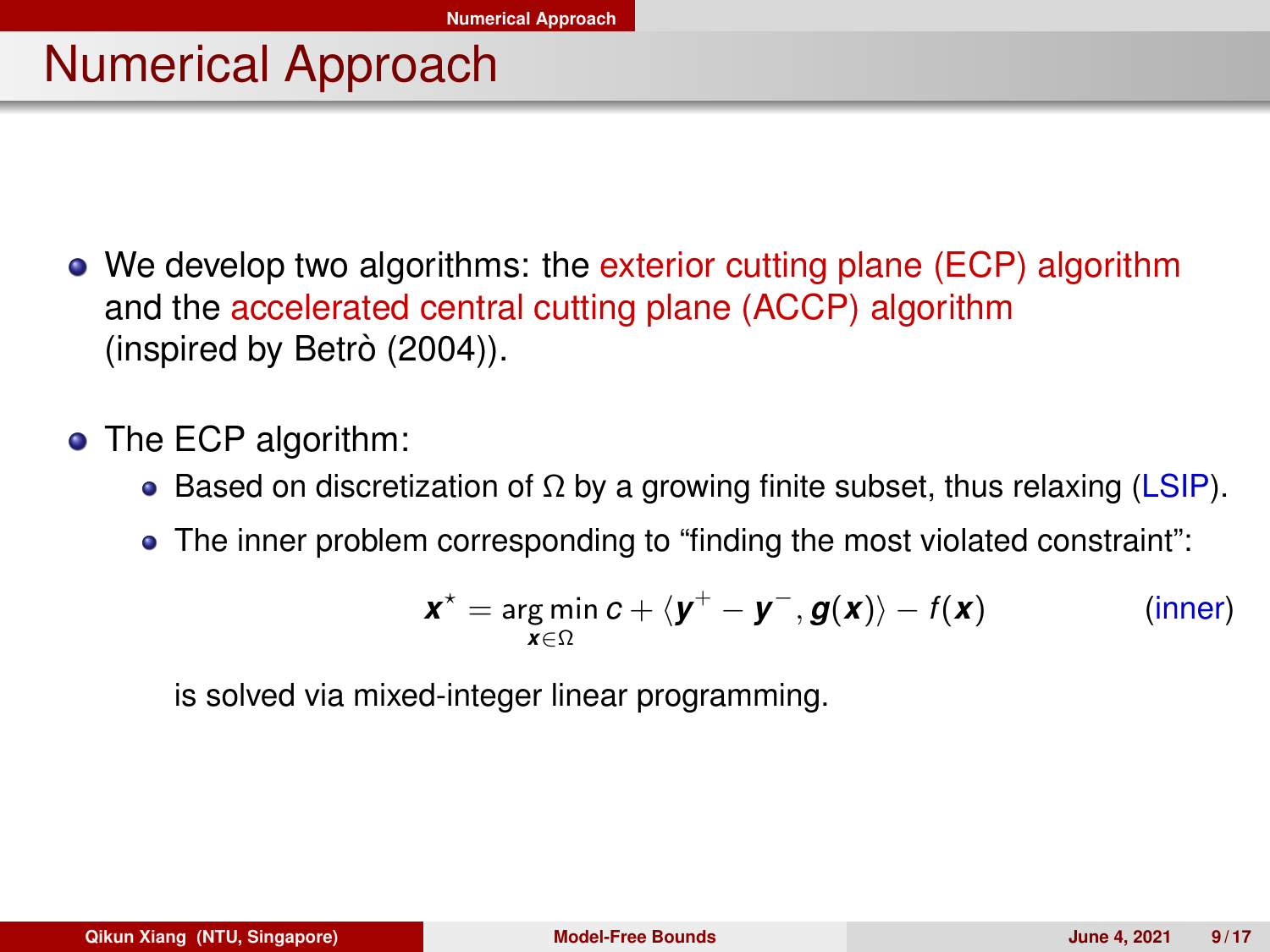## Numerical Approach

- We develop two algorithms: the exterior cutting plane (ECP) algorithm and the accelerated central cutting plane (ACCP) algorithm (inspired by Betrò (2004)).
- The ECP algorithm:
	- **Based on discretization of Ω by a growing finite subset, thus relaxing (LSIP).**
	- The inner problem corresponding to "finding the most violated constraint":

$$
\mathbf{x}^* = \underset{\mathbf{x} \in \Omega}{\arg \min} \, \mathbf{c} + \langle \mathbf{y}^+ - \mathbf{y}^-, \mathbf{g}(\mathbf{x}) \rangle - f(\mathbf{x}) \quad \text{(inner)}
$$

is solved via mixed-integer linear programming.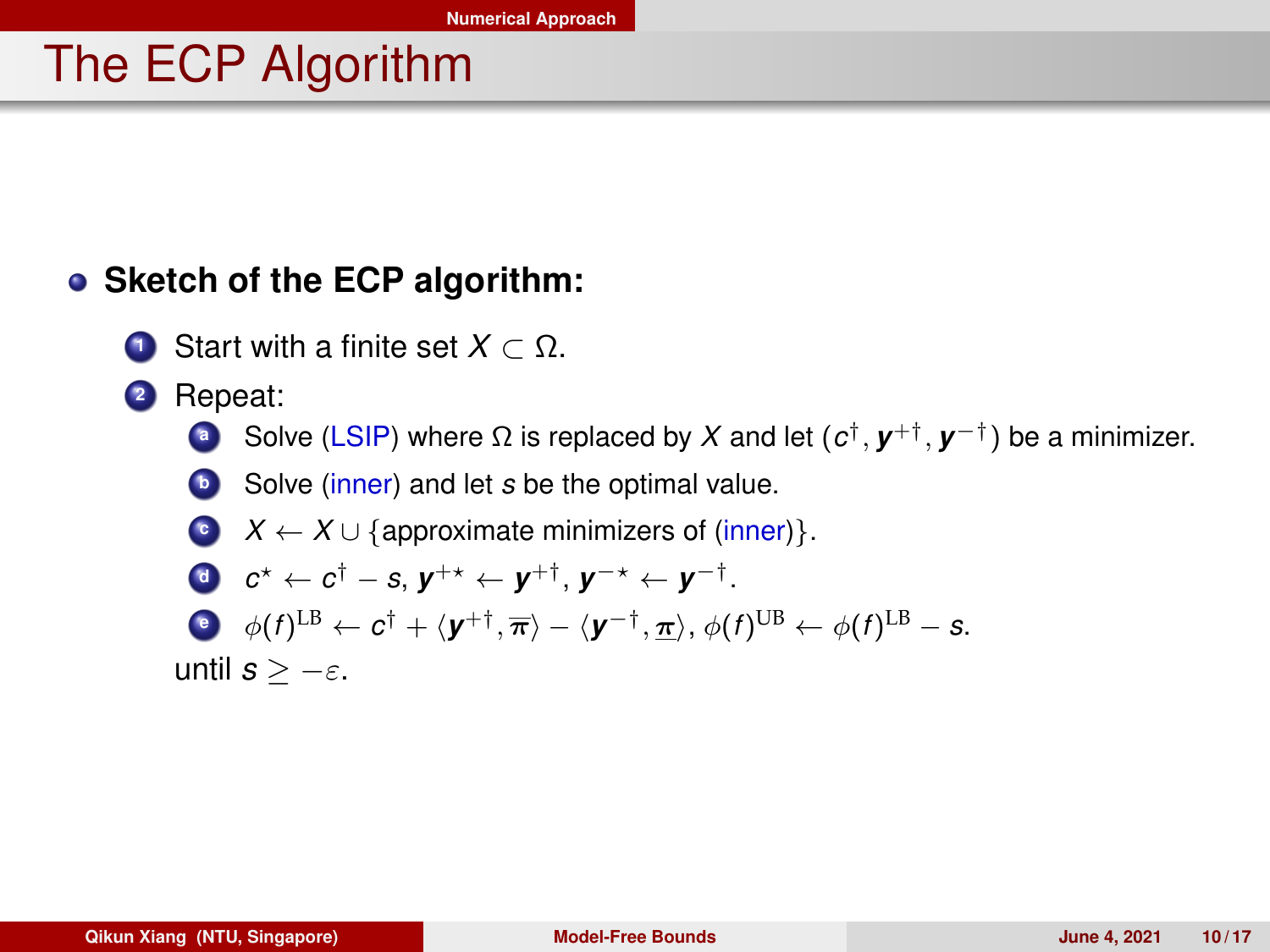## The ECP Algorithm

### **• Sketch of the ECP algorithm:**

- **<sup>1</sup>** Start with a finite set *X* ⊂ Ω.
- **<sup>2</sup>** Repeat:
	- **a** Solve (LSIP) where Ω is replaced by X and let ( $c^{\dagger}$ ,  $\boldsymbol{y}^{+\dagger}$ ,  $\boldsymbol{y}^{-\dagger}$ ) be a minimizer.
	- **b** Solve (inner) and let *s* be the optimal value.
	- **c**  $X \leftarrow X \cup \{\text{approximate minimizers of (inner)}\}.$

\n- $$
c^* \leftarrow c^{\dagger} - s
$$
,  $y^{+\star} \leftarrow y^{+\dagger}$ ,  $y^{-\star} \leftarrow y^{-\dagger}$ .
\n- $\phi(f)^{\text{LB}} \leftarrow c^{\dagger} + \langle y^{+\dagger}, \overline{\pi} \rangle - \langle y^{-\dagger}, \underline{\pi} \rangle$ ,  $\phi(f)^{\text{UB}} \leftarrow \phi(f)^{\text{LB}} - s$ .
\n

until  $s > -\varepsilon$ .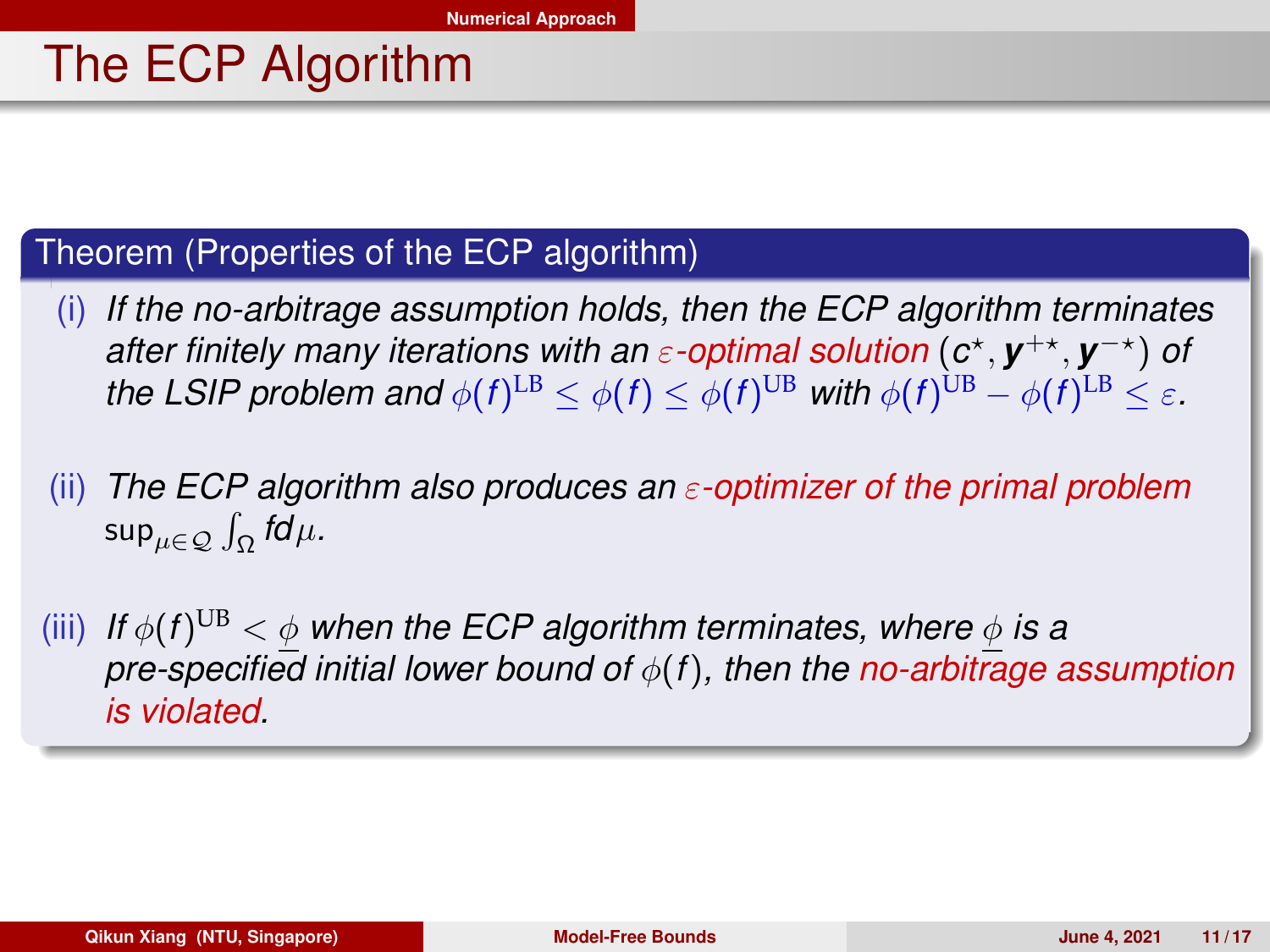## The ECP Algorithm

#### Theorem (Properties of the ECP algorithm)

- (i) *If the no-arbitrage assumption holds, then the ECP algorithm terminates after finitely many iterations with an ε-optimal solution* ( $c$ <sup>\*</sup>,  $y$ <sup>+\*</sup>,  $y$ <sup>-\*</sup>) *of the LSIP problem and*  $\phi(f)^{\text{LB}} \leq \phi(f) \leq \phi(f)^{\text{UB}}$  *with*  $\phi(f)^{\text{UB}} - \phi(f)^{\text{LB}} \leq \varepsilon$ *.*
- (ii) *The ECP algorithm also produces an* ε*-optimizer of the primal problem* sup $_{\mu\in\mathcal{Q}}\int_{\Omega}f\!d\mu$ *.*
- $\alpha$  (iii) If  $\phi(f)^{\mathrm{UB}} < \phi$  when the ECP algorithm terminates, where  $\phi$  is a *pre-specified initial lower bound of* φ(*f*)*, then the no-arbitrage assumption is violated.*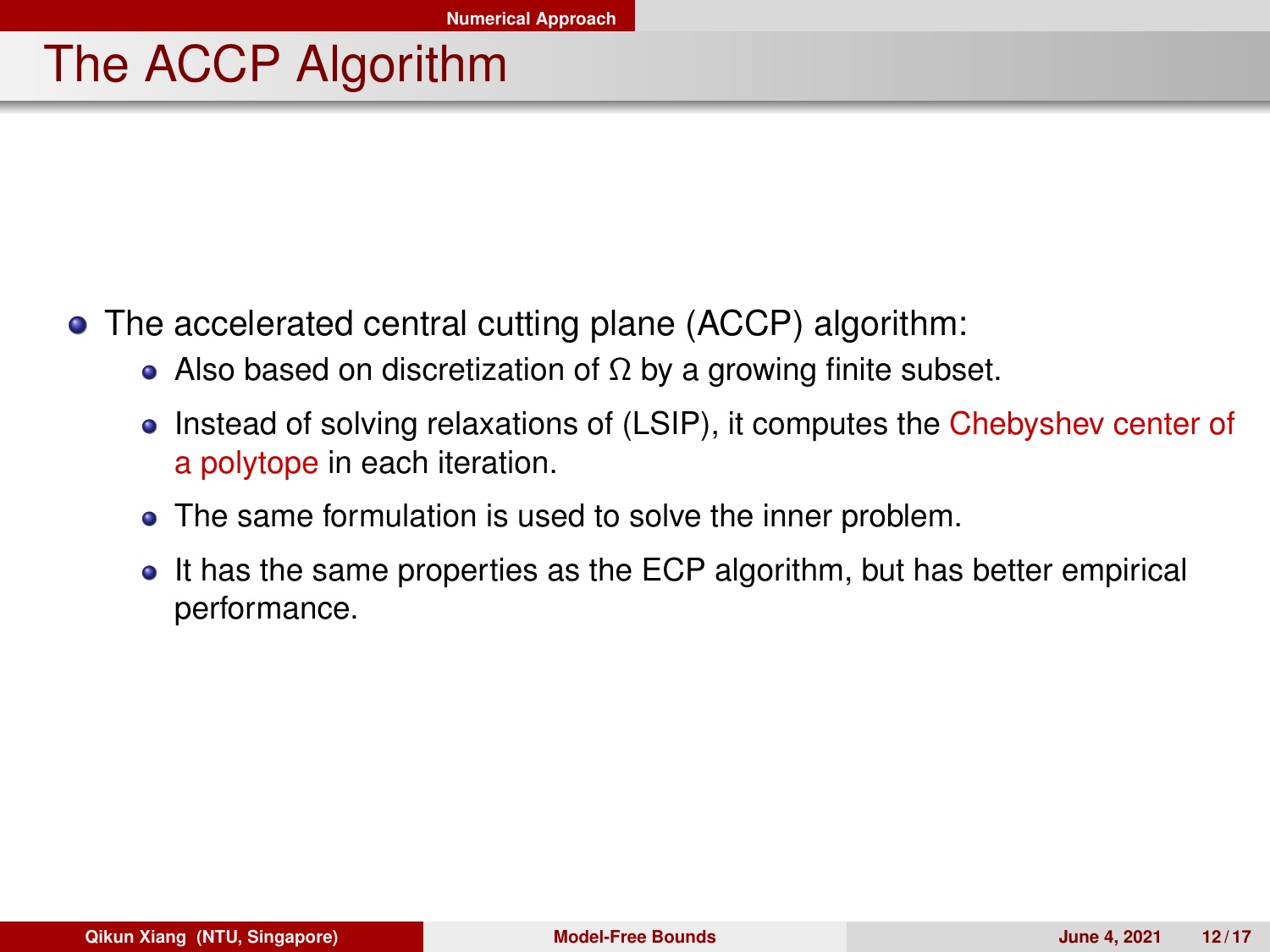## The ACCP Algorithm

- The accelerated central cutting plane (ACCP) algorithm:
	- Also based on discretization of  $\Omega$  by a growing finite subset.
	- Instead of solving relaxations of (LSIP), it computes the Chebyshev center of a polytope in each iteration.
	- The same formulation is used to solve the inner problem.  $\bullet$
	- It has the same properties as the ECP algorithm, but has better empirical  $\bullet$ performance.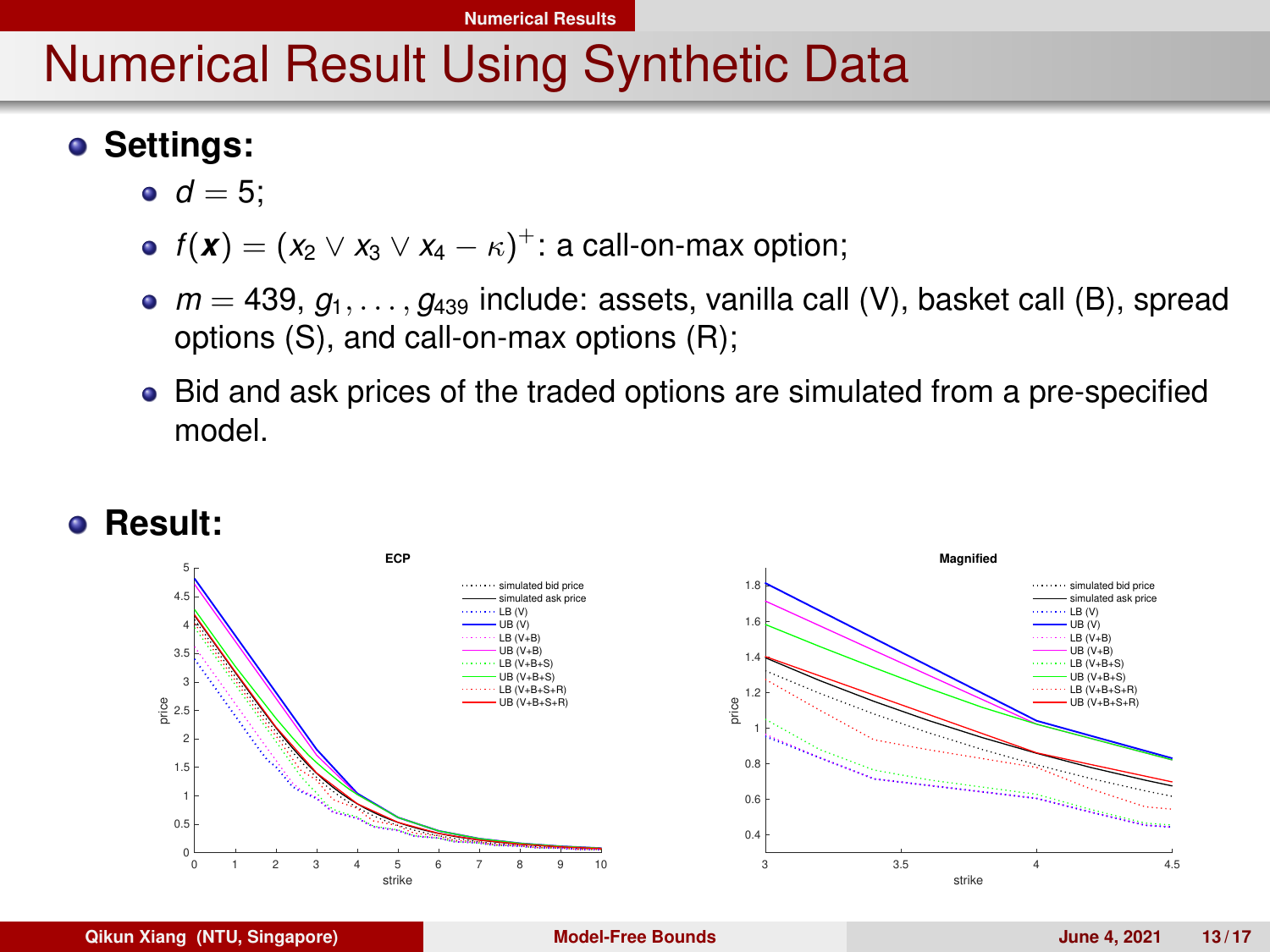## <span id="page-12-0"></span>Numerical Result Using Synthetic Data

## $\bullet$  Settings:

- $d = 5$ :
- $f(\boldsymbol{x}) = (x_2 \vee x_3 \vee x_4 \kappa)^+$ : a call-on-max option;
- $m = 439$ ,  $q_1, \ldots, q_{439}$  include: assets, vanilla call (V), basket call (B), spread options (S), and call-on-max options (R);
- Bid and ask prices of the traded options are simulated from a pre-specified model.



#### **Qikun Xiang (NTU, Singapore) [Model-Free Bounds](#page-0-0) June 4, 2021 13 / 17**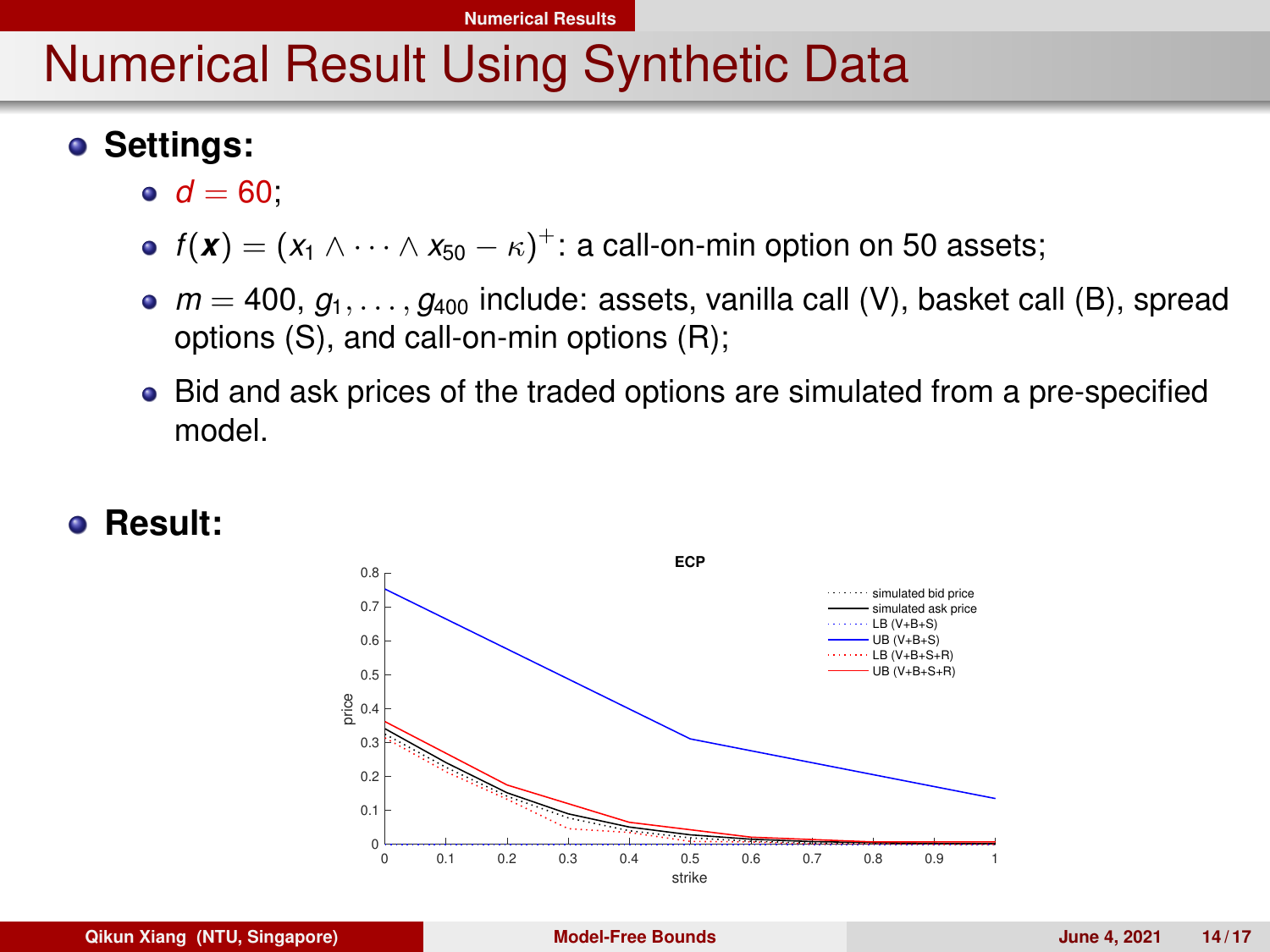## Numerical Result Using Synthetic Data

#### $\bullet$  Settings:

- $d = 60$ ;
- $f(\textbf{\textit{x}})=(\textit{x}_1\wedge\cdots\wedge \textit{x}_{50}-\kappa)^+$ : a call-on-min option on 50 assets;
- $m = 400$ ,  $q_1, \ldots, q_{400}$  include: assets, vanilla call (V), basket call (B), spread options (S), and call-on-min options (R);
- Bid and ask prices of the traded options are simulated from a pre-specified model.

#### **Result:**

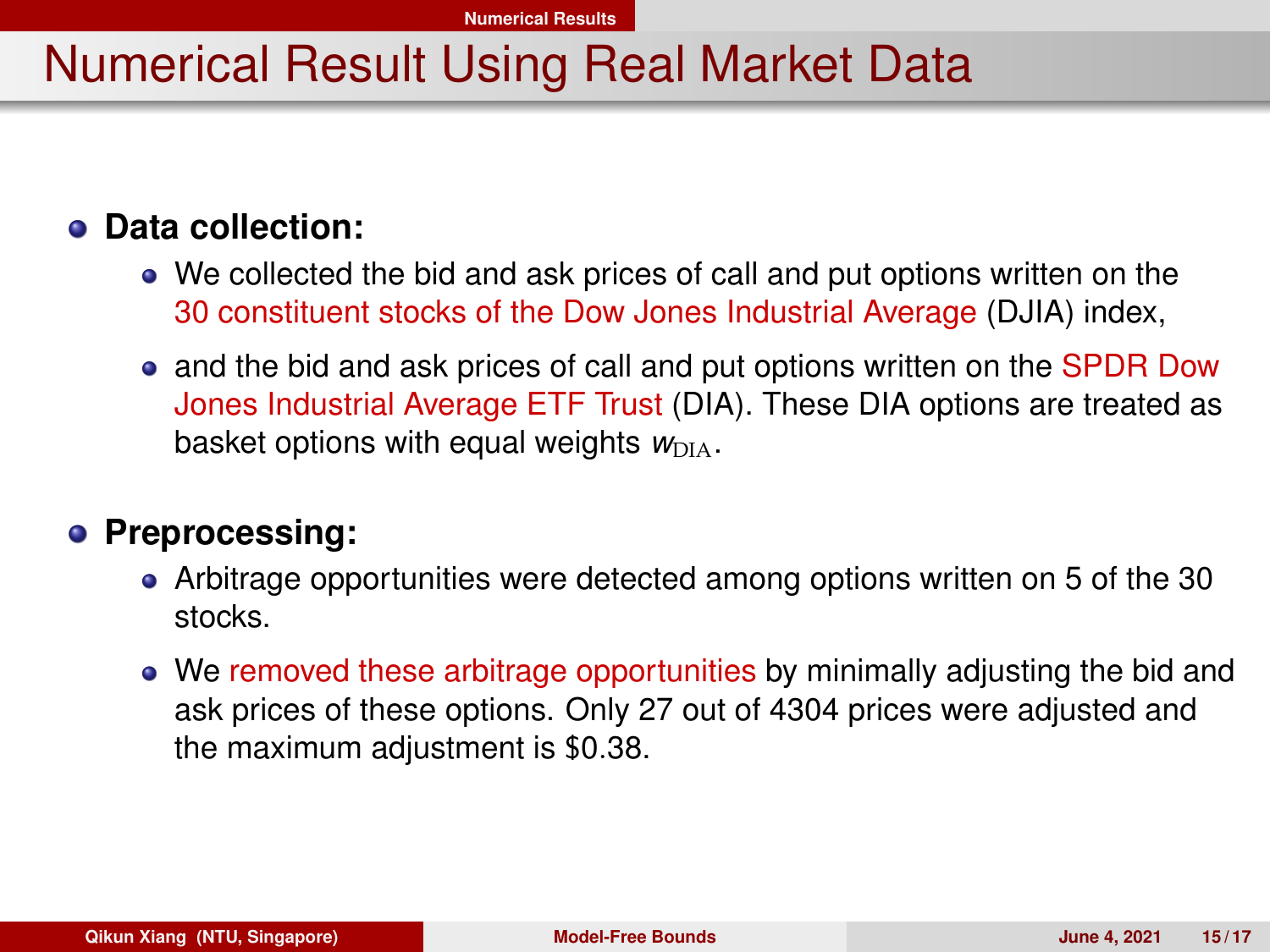## Numerical Result Using Real Market Data

### **Data collection:**

- We collected the bid and ask prices of call and put options written on the 30 constituent stocks of the Dow Jones Industrial Average (DJIA) index,
- and the bid and ask prices of call and put options written on the SPDR Dow Jones Industrial Average ETF Trust (DIA). These DIA options are treated as basket options with equal weights  $w_{\text{DIA}}$ .

#### **Preprocessing:**

- Arbitrage opportunities were detected among options written on 5 of the 30 stocks.
- We removed these arbitrage opportunities by minimally adjusting the bid and ask prices of these options. Only 27 out of 4304 prices were adjusted and the maximum adjustment is \$0.38.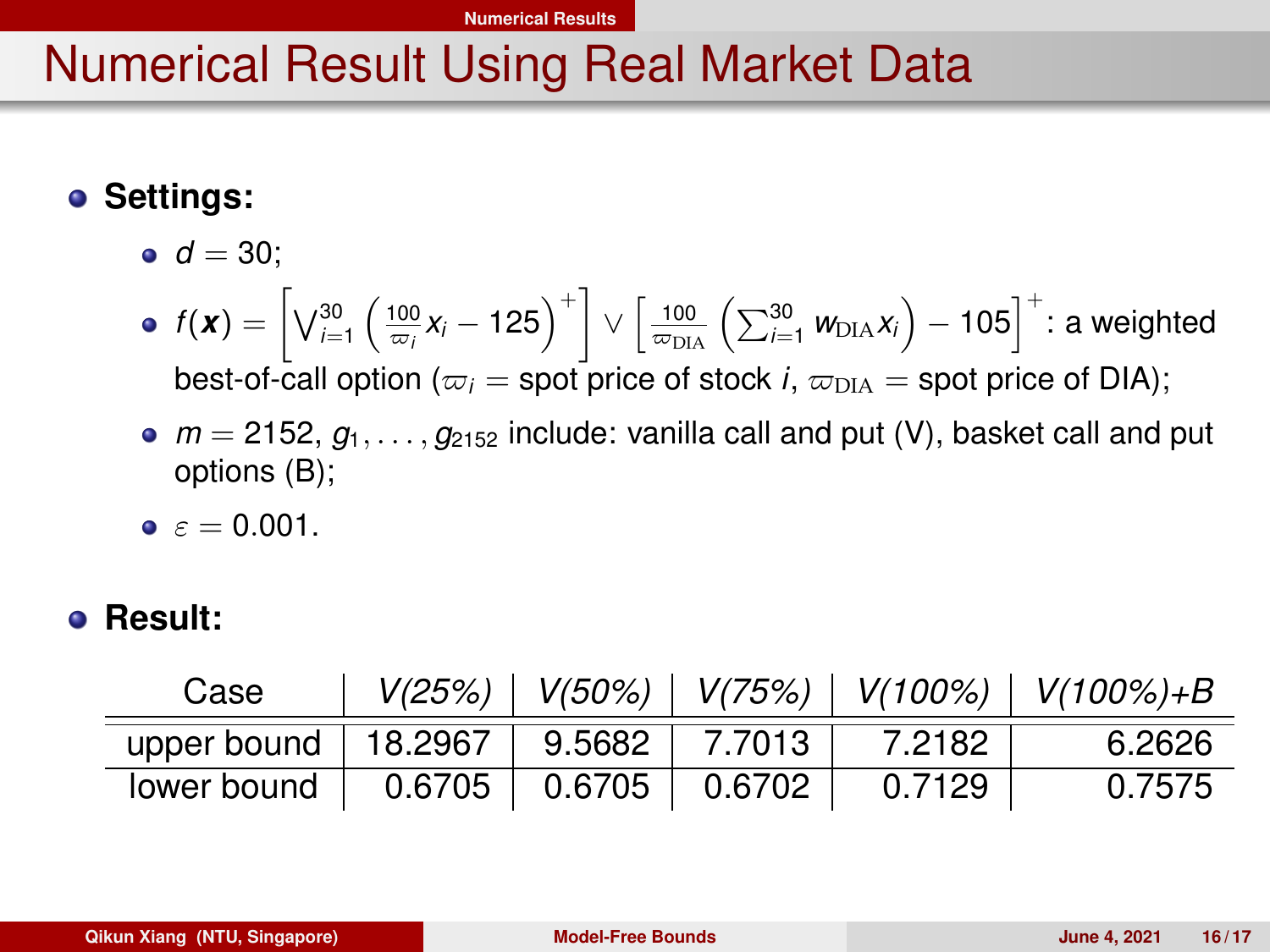#### **[Numerical Results](#page-12-0)**

## Numerical Result Using Real Market Data

## **• Settings:**

- $d = 30$ ;
- $f(\pmb{x}) = \left[\bigvee_{i=1}^{30} \left(\frac{100}{\varpi_i}\pmb{x}_i 125\right)^+\right] \vee \left[\frac{100}{\varpi_{\text{DIA}}}\left(\sum_{i=1}^{30} \pmb{w}_{\text{DIA}}\pmb{x}_i\right) 105\right]^+$ : a weighted best-of-call option ( $\varpi_i$  = spot price of stock *i*,  $\varpi_{\text{DIA}}$  = spot price of DIA);
- $m = 2152, g_1, \ldots, g_{2152}$  include: vanilla call and put (V), basket call and put options (B);
- $\epsilon = 0.001$ .

#### **Result:**

| Case                                    |  |         | $V(25%)$   $V(50%)$   $V(75%)$   $V(100%)$   $V(100%)$ +B |
|-----------------------------------------|--|---------|-----------------------------------------------------------|
| upper bound   18.2967   9.5682   7.7013 |  | 7.2182. | 6.2626                                                    |
| lower bound   0.6705   0.6705   0.6702  |  | 0.7129  | 0.7575                                                    |